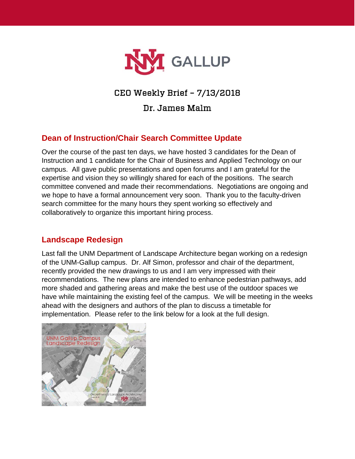

# CEO Weekly Brief – 7/13/2018

Dr. James Malm

## **Dean of Instruction/Chair Search Committee Update**

Over the course of the past ten days, we have hosted 3 candidates for the Dean of Instruction and 1 candidate for the Chair of Business and Applied Technology on our campus. All gave public presentations and open forums and I am grateful for the expertise and vision they so willingly shared for each of the positions. The search committee convened and made their recommendations. Negotiations are ongoing and we hope to have a formal announcement very soon. Thank you to the faculty-driven search committee for the many hours they spent working so effectively and collaboratively to organize this important hiring process.

## **Landscape Redesign**

Last fall the UNM Department of Landscape Architecture began working on a redesign of the UNM-Gallup campus. Dr. Alf Simon, professor and chair of the department, recently provided the new drawings to us and I am very impressed with their recommendations. The new plans are intended to enhance pedestrian pathways, add more shaded and gathering areas and make the best use of the outdoor spaces we have while maintaining the existing feel of the campus. We will be meeting in the weeks ahead with the designers and authors of the plan to discuss a timetable for implementation. Please refer to the link below for a look at the full design.

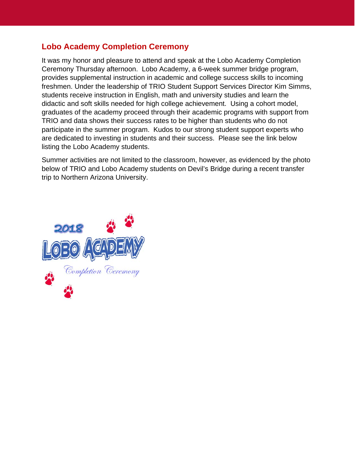## **Lobo Academy Completion Ceremony**

It was my honor and pleasure to attend and speak at the Lobo Academy Completion Ceremony Thursday afternoon. Lobo Academy, a 6-week summer bridge program, provides supplemental instruction in academic and college success skills to incoming freshmen. Under the leadership of TRIO Student Support Services Director Kim Simms, students receive instruction in English, math and university studies and learn the didactic and soft skills needed for high college achievement. Using a cohort model, graduates of the academy proceed through their academic programs with support from TRIO and data shows their success rates to be higher than students who do not participate in the summer program. Kudos to our strong student support experts who are dedicated to investing in students and their success. Please see the link below listing the Lobo Academy students.

Summer activities are not limited to the classroom, however, as evidenced by the photo below of TRIO and Lobo Academy students on Devil's Bridge during a recent transfer trip to Northern Arizona University.

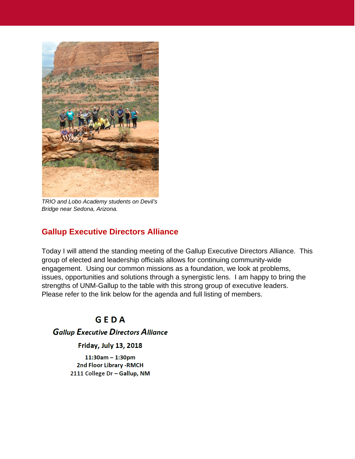

*TRIO and Lobo Academy students on Devil's Bridge near Sedona, Arizona.*

## **Gallup Executive Directors Alliance**

Today I will attend the standing meeting of the Gallup Executive Directors Alliance. This group of elected and leadership officials allows for continuing community-wide engagement. Using our common missions as a foundation, we look at problems, issues, opportunities and solutions through a synergistic lens. I am happy to bring the strengths of UNM-Gallup to the table with this strong group of executive leaders. Please refer to the link below for the agenda and full listing of members.

# GEDA

## **Gallup Executive Directors Alliance**

### **Friday, July 13, 2018**

 $11:30am - 1:30pm$ 2nd Floor Library - RMCH 2111 College Dr - Gallup, NM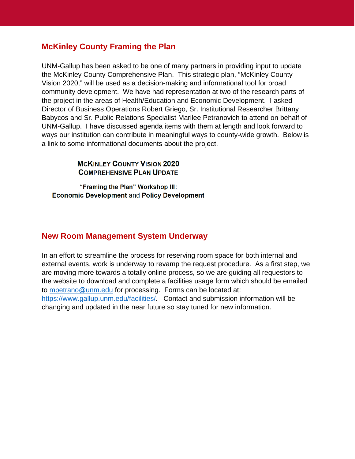## **McKinley County Framing the Plan**

UNM-Gallup has been asked to be one of many partners in providing input to update the McKinley County Comprehensive Plan. This strategic plan, "McKinley County Vision 2020," will be used as a decision-making and informational tool for broad community development. We have had representation at two of the research parts of the project in the areas of Health/Education and Economic Development. I asked Director of Business Operations Robert Griego, Sr. Institutional Researcher Brittany Babycos and Sr. Public Relations Specialist Marilee Petranovich to attend on behalf of UNM-Gallup. I have discussed agenda items with them at length and look forward to ways our institution can contribute in meaningful ways to county-wide growth. Below is a link to some informational documents about the project.

## **MCKINLEY COUNTY VISION 2020 COMPREHENSIVE PLAN UPDATE**

"Framing the Plan" Workshop III: **Economic Development and Policy Development** 

## **New Room Management System Underway**

In an effort to streamline the process for reserving room space for both internal and external events, work is underway to revamp the request procedure. As a first step, we are moving more towards a totally online process, so we are guiding all requestors to the website to download and complete a facilities usage form which should be emailed to [mpetrano@unm.edu](mailto:mpetrano@unm.edu) for processing. Forms can be located at: [https://www.gallup.unm.edu/facilities/.](https://www.gallup.unm.edu/facilities/) Contact and submission information will be changing and updated in the near future so stay tuned for new information.